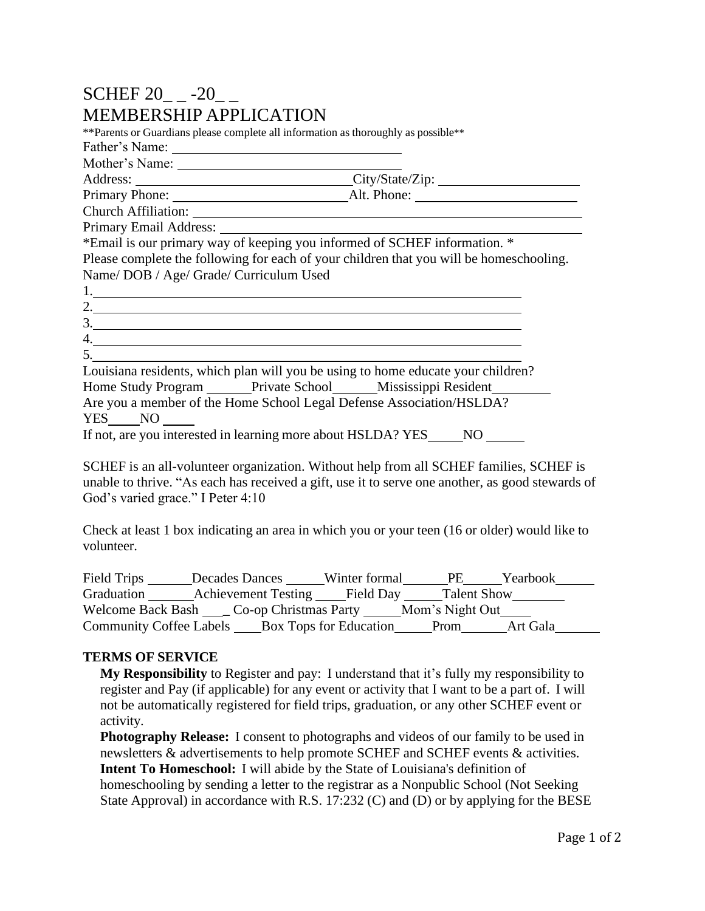## SCHEF 20\_ \_ -20\_ \_ MEMBERSHIP APPLICATION

\*\*Parents or Guardians please complete all information as thoroughly as possible\*\*

| Father's Name: |  |
|----------------|--|
| Mother's Name: |  |

Address: City/State/Zip:

Primary Phone: Alt. Phone:

Church Affiliation:

Primary Email Address:

| *Email is our primary way of keeping you informed of SCHEF information. *               |
|-----------------------------------------------------------------------------------------|
| Please complete the following for each of your children that you will be homeschooling. |
| Name/DOB / Age/ Grade/ Curriculum Used                                                  |

| $\overline{2}$     |                                                                                  |
|--------------------|----------------------------------------------------------------------------------|
|                    |                                                                                  |
| 4.                 |                                                                                  |
| 5.                 |                                                                                  |
|                    | Louisiana residents, which plan will you be using to home educate your children? |
| Home Study Program | Private School Mississippi Resident                                              |

Are you a member of the Home School Legal Defense Association/HSLDA? YES NO

If not, are you interested in learning more about HSLDA? YES NO

SCHEF is an all-volunteer organization. Without help from all SCHEF families, SCHEF is unable to thrive. "As each has received a gift, use it to serve one another, as good stewards of God's varied grace." I Peter 4:10

Check at least 1 box indicating an area in which you or your teen (16 or older) would like to volunteer.

| Field Trips | <b>Decades Dances</b>                          | Winter formal | PE.                | Yearbook |  |
|-------------|------------------------------------------------|---------------|--------------------|----------|--|
| Graduation  | Achievement Testing Field Day                  |               | <b>Talent Show</b> |          |  |
|             | Welcome Back Bash Co-op Christmas Party        |               | Mom's Night Out    |          |  |
|             | Community Coffee Labels Box Tops for Education |               | Prom               | Art Gala |  |

## **TERMS OF SERVICE**

**My Responsibility** to Register and pay: I understand that it's fully my responsibility to register and Pay (if applicable) for any event or activity that I want to be a part of. I will not be automatically registered for field trips, graduation, or any other SCHEF event or activity.

**Photography Release:** I consent to photographs and videos of our family to be used in newsletters & advertisements to help promote SCHEF and SCHEF events & activities. **Intent To Homeschool:** I will abide by the State of Louisiana's definition of homeschooling by sending a letter to the registrar as a Nonpublic School (Not Seeking State Approval) in accordance with R.S. 17:232 (C) and (D) or by applying for the BESE